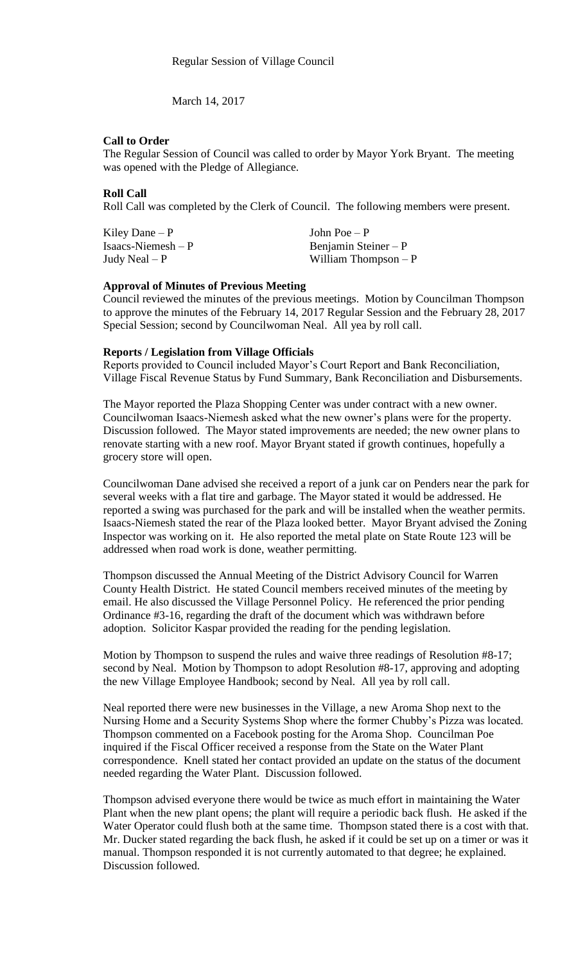March 14, 2017

## **Call to Order**

The Regular Session of Council was called to order by Mayor York Bryant. The meeting was opened with the Pledge of Allegiance.

## **Roll Call**

Roll Call was completed by the Clerk of Council. The following members were present.

Kiley Dane – P  $\qquad \qquad$  John Poe – P Isaacs-Niemesh – P Benjamin Steiner – P Judy Neal – P William Thompson – P

#### **Approval of Minutes of Previous Meeting**

Council reviewed the minutes of the previous meetings. Motion by Councilman Thompson to approve the minutes of the February 14, 2017 Regular Session and the February 28, 2017 Special Session; second by Councilwoman Neal. All yea by roll call.

## **Reports / Legislation from Village Officials**

Reports provided to Council included Mayor's Court Report and Bank Reconciliation, Village Fiscal Revenue Status by Fund Summary, Bank Reconciliation and Disbursements.

The Mayor reported the Plaza Shopping Center was under contract with a new owner. Councilwoman Isaacs-Niemesh asked what the new owner's plans were for the property. Discussion followed. The Mayor stated improvements are needed; the new owner plans to renovate starting with a new roof. Mayor Bryant stated if growth continues, hopefully a grocery store will open.

Councilwoman Dane advised she received a report of a junk car on Penders near the park for several weeks with a flat tire and garbage. The Mayor stated it would be addressed. He reported a swing was purchased for the park and will be installed when the weather permits. Isaacs-Niemesh stated the rear of the Plaza looked better. Mayor Bryant advised the Zoning Inspector was working on it. He also reported the metal plate on State Route 123 will be addressed when road work is done, weather permitting.

Thompson discussed the Annual Meeting of the District Advisory Council for Warren County Health District. He stated Council members received minutes of the meeting by email. He also discussed the Village Personnel Policy. He referenced the prior pending Ordinance #3-16, regarding the draft of the document which was withdrawn before adoption. Solicitor Kaspar provided the reading for the pending legislation.

Motion by Thompson to suspend the rules and waive three readings of Resolution #8-17; second by Neal. Motion by Thompson to adopt Resolution #8-17, approving and adopting the new Village Employee Handbook; second by Neal. All yea by roll call.

Neal reported there were new businesses in the Village, a new Aroma Shop next to the Nursing Home and a Security Systems Shop where the former Chubby's Pizza was located. Thompson commented on a Facebook posting for the Aroma Shop. Councilman Poe inquired if the Fiscal Officer received a response from the State on the Water Plant correspondence. Knell stated her contact provided an update on the status of the document needed regarding the Water Plant. Discussion followed.

Thompson advised everyone there would be twice as much effort in maintaining the Water Plant when the new plant opens; the plant will require a periodic back flush. He asked if the Water Operator could flush both at the same time. Thompson stated there is a cost with that. Mr. Ducker stated regarding the back flush, he asked if it could be set up on a timer or was it manual. Thompson responded it is not currently automated to that degree; he explained. Discussion followed.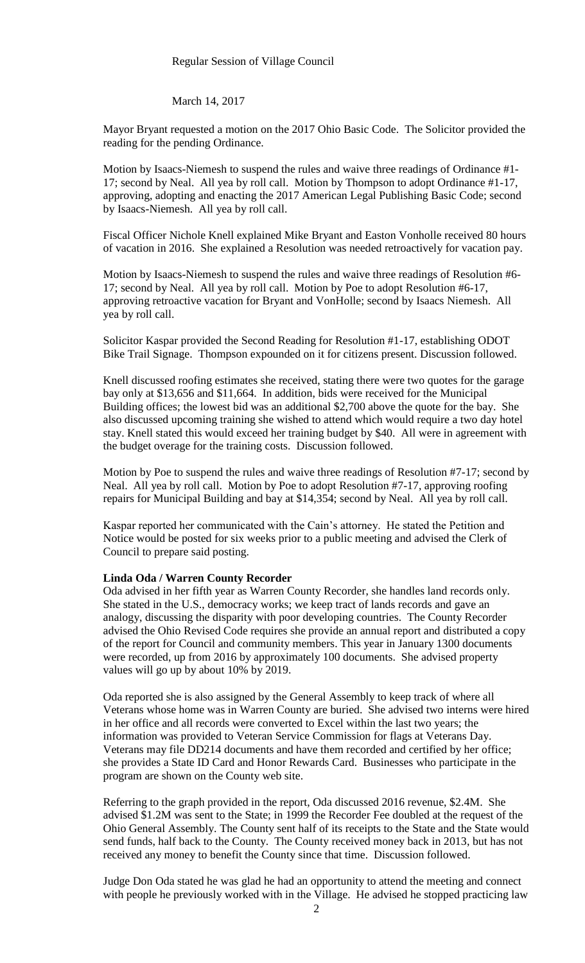#### Regular Session of Village Council

March 14, 2017

Mayor Bryant requested a motion on the 2017 Ohio Basic Code. The Solicitor provided the reading for the pending Ordinance.

Motion by Isaacs-Niemesh to suspend the rules and waive three readings of Ordinance #1- 17; second by Neal. All yea by roll call. Motion by Thompson to adopt Ordinance #1-17, approving, adopting and enacting the 2017 American Legal Publishing Basic Code; second by Isaacs-Niemesh. All yea by roll call.

Fiscal Officer Nichole Knell explained Mike Bryant and Easton Vonholle received 80 hours of vacation in 2016. She explained a Resolution was needed retroactively for vacation pay.

Motion by Isaacs-Niemesh to suspend the rules and waive three readings of Resolution #6- 17; second by Neal. All yea by roll call. Motion by Poe to adopt Resolution #6-17, approving retroactive vacation for Bryant and VonHolle; second by Isaacs Niemesh. All yea by roll call.

Solicitor Kaspar provided the Second Reading for Resolution #1-17, establishing ODOT Bike Trail Signage. Thompson expounded on it for citizens present. Discussion followed.

Knell discussed roofing estimates she received, stating there were two quotes for the garage bay only at \$13,656 and \$11,664. In addition, bids were received for the Municipal Building offices; the lowest bid was an additional \$2,700 above the quote for the bay. She also discussed upcoming training she wished to attend which would require a two day hotel stay. Knell stated this would exceed her training budget by \$40. All were in agreement with the budget overage for the training costs. Discussion followed.

Motion by Poe to suspend the rules and waive three readings of Resolution #7-17; second by Neal. All yea by roll call. Motion by Poe to adopt Resolution #7-17, approving roofing repairs for Municipal Building and bay at \$14,354; second by Neal. All yea by roll call.

Kaspar reported her communicated with the Cain's attorney. He stated the Petition and Notice would be posted for six weeks prior to a public meeting and advised the Clerk of Council to prepare said posting.

#### **Linda Oda / Warren County Recorder**

Oda advised in her fifth year as Warren County Recorder, she handles land records only. She stated in the U.S., democracy works; we keep tract of lands records and gave an analogy, discussing the disparity with poor developing countries. The County Recorder advised the Ohio Revised Code requires she provide an annual report and distributed a copy of the report for Council and community members. This year in January 1300 documents were recorded, up from 2016 by approximately 100 documents. She advised property values will go up by about 10% by 2019.

Oda reported she is also assigned by the General Assembly to keep track of where all Veterans whose home was in Warren County are buried. She advised two interns were hired in her office and all records were converted to Excel within the last two years; the information was provided to Veteran Service Commission for flags at Veterans Day. Veterans may file DD214 documents and have them recorded and certified by her office; she provides a State ID Card and Honor Rewards Card. Businesses who participate in the program are shown on the County web site.

Referring to the graph provided in the report, Oda discussed 2016 revenue, \$2.4M. She advised \$1.2M was sent to the State; in 1999 the Recorder Fee doubled at the request of the Ohio General Assembly. The County sent half of its receipts to the State and the State would send funds, half back to the County. The County received money back in 2013, but has not received any money to benefit the County since that time. Discussion followed.

Judge Don Oda stated he was glad he had an opportunity to attend the meeting and connect with people he previously worked with in the Village. He advised he stopped practicing law